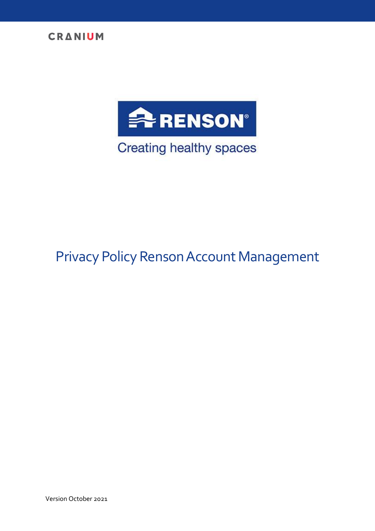



# Privacy Policy Renson Account Management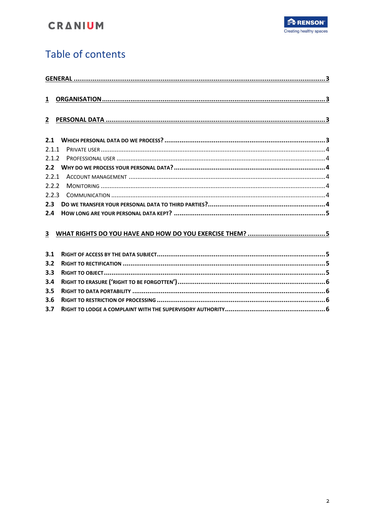

## Table of contents

| $\mathbf{1}$ |  |
|--------------|--|
| $2^{\circ}$  |  |
|              |  |
| 2.1          |  |
| 2.1.1        |  |
| 2.1.2        |  |
| 2.2          |  |
| 2.2.1        |  |
| 2.2.2        |  |
| 2.2.3        |  |
| 2.3          |  |
| 2.4          |  |
|              |  |
| 3            |  |
|              |  |
| 3.1          |  |
| 3.2          |  |
| 3.3          |  |
| 3.4          |  |
| 3.5          |  |
| 3.6          |  |
| 3.7          |  |
|              |  |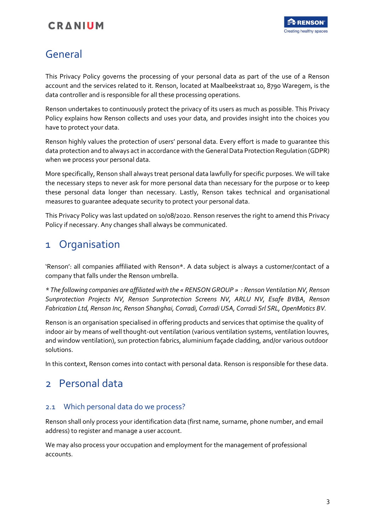## <span id="page-2-0"></span>General

This Privacy Policy governs the processing of your personal data as part of the use of a Renson account and the services related to it. Renson, located at Maalbeekstraat 10, 8790 Waregem, is the data controller and is responsible for all these processing operations.

Renson undertakes to continuously protect the privacy of its users as much as possible. This Privacy Policy explains how Renson collects and uses your data, and provides insight into the choices you have to protect your data.

Renson highly values the protection of users' personal data. Every effort is made to guarantee this data protection and to always act in accordance with the General Data Protection Regulation (GDPR) when we process your personal data.

More specifically, Renson shall always treat personal data lawfully for specific purposes. We will take the necessary steps to never ask for more personal data than necessary for the purpose or to keep these personal data longer than necessary. Lastly, Renson takes technical and organisational measures to guarantee adequate security to protect your personal data.

This Privacy Policy was last updated on 10/08/2020. Renson reserves the right to amend this Privacy Policy if necessary. Any changes shall always be communicated.

## <span id="page-2-1"></span>1 Organisation

'Renson': all companies affiliated with Renson\*. A data subject is always a customer/contact of a company that falls under the Renson umbrella.

*\* The following companies are affiliated with the « RENSON GROUP » : Renson Ventilation NV, Renson Sunprotection Projects NV, Renson Sunprotection Screens NV, ARLU NV, Esafe BVBA, Renson Fabrication Ltd, Renson Inc, Renson Shanghai, Corradi, Corradi USA, Corradi Srl SRL, OpenMotics BV.*

Renson is an organisation specialised in offering products and services that optimise the quality of indoor air by means of well thought-out ventilation (various ventilation systems, ventilation louvres, and window ventilation), sun protection fabrics, aluminium façade cladding, and/or various outdoor solutions.

In this context, Renson comes into contact with personal data. Renson is responsible for these data.

## <span id="page-2-2"></span>2 Personal data

### <span id="page-2-3"></span>2.1 Which personal data do we process?

Renson shall only process your identification data (first name, surname, phone number, and email address) to register and manage a user account.

We may also process your occupation and employment for the management of professional accounts.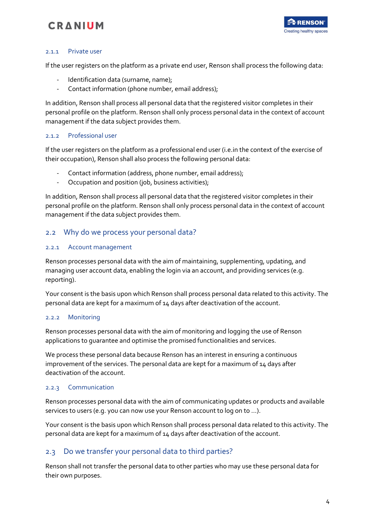

#### <span id="page-3-0"></span>2.1.1 Private user

If the user registers on the platform as a private end user, Renson shall process the following data:

- Identification data (surname, name);
- Contact information (phone number, email address);

In addition, Renson shall process all personal data that the registered visitor completes in their personal profile on the platform. Renson shall only process personal data in the context of account management if the data subject provides them.

#### <span id="page-3-1"></span>2.1.2 Professional user

If the user registers on the platform as a professional end user (i.e.in the context of the exercise of their occupation), Renson shall also process the following personal data:

- Contact information (address, phone number, email address);
- Occupation and position (job, business activities);

In addition, Renson shall process all personal data that the registered visitor completes in their personal profile on the platform. Renson shall only process personal data in the context of account management if the data subject provides them.

### <span id="page-3-2"></span>2.2 Why do we process your personal data?

#### <span id="page-3-3"></span>2.2.1 Account management

Renson processes personal data with the aim of maintaining, supplementing, updating, and managing user account data, enabling the login via an account, and providing services (e.g. reporting).

Your consent is the basis upon which Renson shall process personal data related to this activity. The personal data are kept for a maximum of 14 days after deactivation of the account.

#### <span id="page-3-4"></span>2.2.2 Monitoring

Renson processes personal data with the aim of monitoring and logging the use of Renson applications to guarantee and optimise the promised functionalities and services.

We process these personal data because Renson has an interest in ensuring a continuous improvement of the services. The personal data are kept for a maximum of 14 days after deactivation of the account.

#### <span id="page-3-5"></span>2.2.3 Communication

Renson processes personal data with the aim of communicating updates or products and available services to users (e.g. you can now use your Renson account to log on to …).

Your consent is the basis upon which Renson shall process personal data related to this activity. The personal data are kept for a maximum of 14 days after deactivation of the account.

### <span id="page-3-6"></span>2.3 Do we transfer your personal data to third parties?

Renson shall not transfer the personal data to other parties who may use these personal data for their own purposes.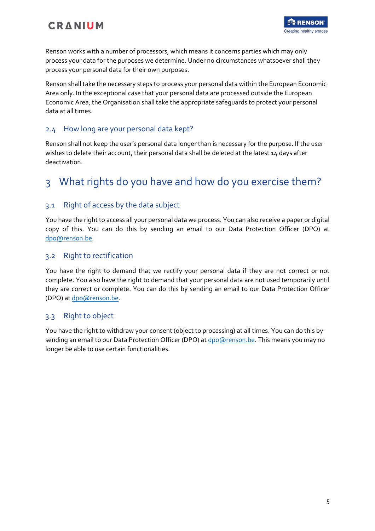

Renson works with a number of processors, which means it concerns parties which may only process your data for the purposes we determine. Under no circumstances whatsoever shall they process your personal data for their own purposes.

Renson shall take the necessary steps to process your personal data within the European Economic Area only. In the exceptional case that your personal data are processed outside the European Economic Area, the Organisation shall take the appropriate safeguards to protect your personal data at all times.

### <span id="page-4-0"></span>2.4 How long are your personal data kept?

Renson shall not keep the user's personal data longer than is necessary for the purpose. If the user wishes to delete their account, their personal data shall be deleted at the latest 14 days after deactivation.

## <span id="page-4-1"></span>3 What rights do you have and how do you exercise them?

### <span id="page-4-2"></span>3.1 Right of access by the data subject

You have the right to access all your personal data we process. You can also receive a paper or digital copy of this. You can do this by sending an email to our Data Protection Officer (DPO) at [dpo@renson.be.](mailto:dpo@renson.be)

### <span id="page-4-3"></span>3.2 Right to rectification

You have the right to demand that we rectify your personal data if they are not correct or not complete. You also have the right to demand that your personal data are not used temporarily until they are correct or complete. You can do this by sending an email to our Data Protection Officer (DPO) at [dpo@renson.be.](mailto:dpo@renson.be)

### <span id="page-4-4"></span>3.3 Right to object

You have the right to withdraw your consent (object to processing) at all times. You can do this by sending an email to our Data Protection Officer (DPO) at [dpo@renson.be.](mailto:dpo@renson.be) This means you may no longer be able to use certain functionalities.